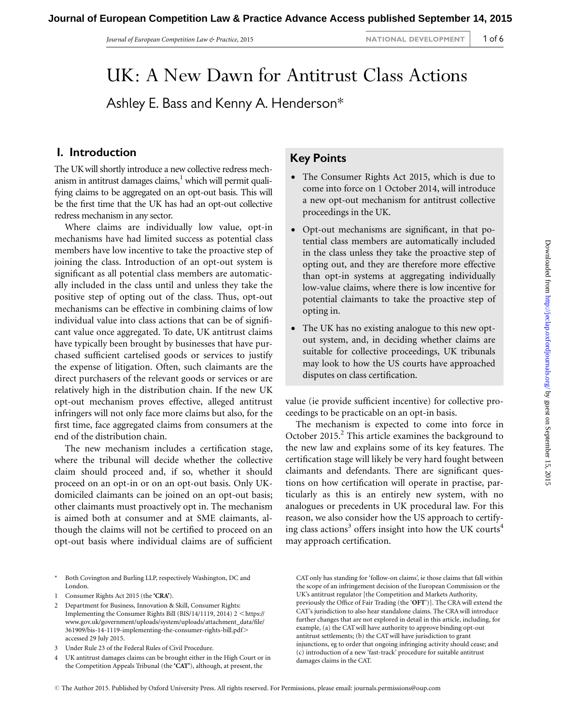# UK: A New Dawn for Antitrust Class Actions

Ashley E. Bass and Kenny A. Henderson\*

### I. Introduction

The UKwill shortly introduce a new collective redress mechanism in antitrust damages claims, $<sup>1</sup>$  which will permit quali-</sup> fying claims to be aggregated on an opt-out basis. This will be the first time that the UK has had an opt-out collective redress mechanism in any sector.

Where claims are individually low value, opt-in mechanisms have had limited success as potential class members have low incentive to take the proactive step of joining the class. Introduction of an opt-out system is significant as all potential class members are automatically included in the class until and unless they take the positive step of opting out of the class. Thus, opt-out mechanisms can be effective in combining claims of low individual value into class actions that can be of significant value once aggregated. To date, UK antitrust claims have typically been brought by businesses that have purchased sufficient cartelised goods or services to justify the expense of litigation. Often, such claimants are the direct purchasers of the relevant goods or services or are relatively high in the distribution chain. If the new UK opt-out mechanism proves effective, alleged antitrust infringers will not only face more claims but also, for the first time, face aggregated claims from consumers at the end of the distribution chain.

The new mechanism includes a certification stage, where the tribunal will decide whether the collective claim should proceed and, if so, whether it should proceed on an opt-in or on an opt-out basis. Only UKdomiciled claimants can be joined on an opt-out basis; other claimants must proactively opt in. The mechanism is aimed both at consumer and at SME claimants, although the claims will not be certified to proceed on an opt-out basis where individual claims are of sufficient

Both Covington and Burling LLP, respectively Washington, DC and London.

3 Under Rule 23 of the Federal Rules of Civil Procedure.

CAT only has standing for 'follow-on claims', ie those claims that fall within the scope of an infringement decision of the European Commission or the UK's antitrust regulator [the Competition and Markets Authority, previously the Office of Fair Trading (the 'OFT')]. The CRA will extend the CAT's jurisdiction to also hear standalone claims. The CRA will introduce further changes that are not explored in detail in this article, including, for example, (a) the CAT will have authority to approve binding opt-out antitrust settlements; (b) the CAT will have jurisdiction to grant injunctions, eg to order that ongoing infringing activity should cease; and (c) introduction of a new 'fast-track' procedure for suitable antitrust damages claims in the CAT.

- The Consumer Rights Act 2015, which is due to come into force on 1 October 2014, will introduce a new opt-out mechanism for antitrust collective proceedings in the UK.
- Opt-out mechanisms are significant, in that potential class members are automatically included in the class unless they take the proactive step of opting out, and they are therefore more effective than opt-in systems at aggregating individually low-value claims, where there is low incentive for potential claimants to take the proactive step of opting in.
- The UK has no existing analogue to this new optout system, and, in deciding whether claims are suitable for collective proceedings, UK tribunals may look to how the US courts have approached disputes on class certification.

value (ie provide sufficient incentive) for collective proceedings to be practicable on an opt-in basis.

The mechanism is expected to come into force in October 2015.<sup>2</sup> This article examines the background to the new law and explains some of its key features. The certification stage will likely be very hard fought between claimants and defendants. There are significant questions on how certification will operate in practise, particularly as this is an entirely new system, with no analogues or precedents in UK procedural law. For this reason, we also consider how the US approach to certifying class actions<sup>3</sup> offers insight into how the UK courts<sup>4</sup> may approach certification.

<sup>1</sup> Consumer Rights Act 2015 (the 'CRA').

<sup>2</sup> Department for Business, Innovation & Skill, Consumer Rights: Implementing the Consumer Rights Bill (BIS/14/1119, 2014) 2 <[https://](https://www.gov.uk/government/uploads/system/uploads/attachment_data/file/361909/bis-14-1119-implementing-the-consumer-rights-bill.pdf) [www.gov.uk/government/uploads/system/uploads/attachment\\_data/file/](https://www.gov.uk/government/uploads/system/uploads/attachment_data/file/361909/bis-14-1119-implementing-the-consumer-rights-bill.pdf) [361909/bis-14-1119-implementing-the-consumer-rights-bill.pdf](https://www.gov.uk/government/uploads/system/uploads/attachment_data/file/361909/bis-14-1119-implementing-the-consumer-rights-bill.pdf). accessed 29 July 2015.

<sup>4</sup> UK antitrust damages claims can be brought either in the High Court or in the Competition Appeals Tribunal (the 'CAT'), although, at present, the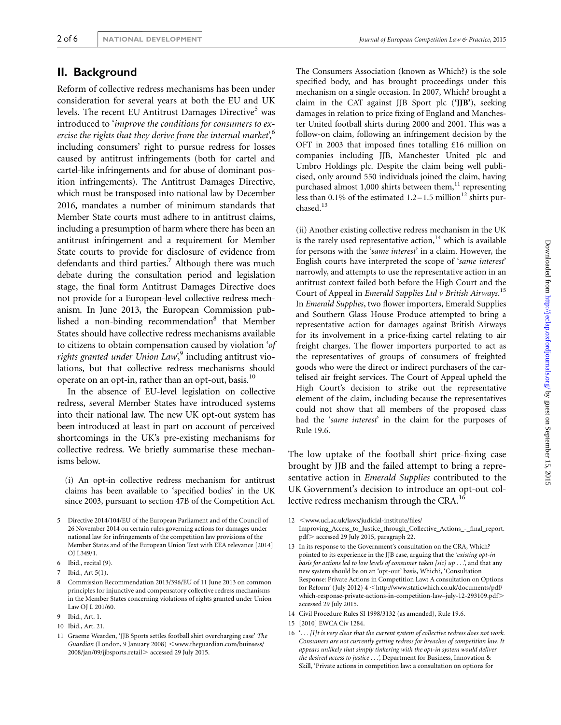### II. Background

Reform of collective redress mechanisms has been under consideration for several years at both the EU and UK levels. The recent EU Antitrust Damages Directive<sup>5</sup> was introduced to 'improve the conditions for consumers to exercise the rights that they derive from the internal market, $6<sup>6</sup>$ including consumers' right to pursue redress for losses caused by antitrust infringements (both for cartel and cartel-like infringements and for abuse of dominant position infringements). The Antitrust Damages Directive, which must be transposed into national law by December 2016, mandates a number of minimum standards that Member State courts must adhere to in antitrust claims, including a presumption of harm where there has been an antitrust infringement and a requirement for Member State courts to provide for disclosure of evidence from defendants and third parties.<sup>7</sup> Although there was much debate during the consultation period and legislation stage, the final form Antitrust Damages Directive does not provide for a European-level collective redress mechanism. In June 2013, the European Commission published a non-binding recommendation $\delta$  that Member States should have collective redress mechanisms available to citizens to obtain compensation caused by violation 'of rights granted under Union Law, $9$  including antitrust violations, but that collective redress mechanisms should operate on an opt-in, rather than an opt-out, basis.<sup>10</sup>

In the absence of EU-level legislation on collective redress, several Member States have introduced systems into their national law. The new UK opt-out system has been introduced at least in part on account of perceived shortcomings in the UK's pre-existing mechanisms for collective redress. We briefly summarise these mechanisms below.

(i) An opt-in collective redress mechanism for antitrust claims has been available to 'specified bodies' in the UK since 2003, pursuant to section 47B of the Competition Act.

5 Directive 2014/104/EU of the European Parliament and of the Council of 26 November 2014 on certain rules governing actions for damages under national law for infringements of the competition law provisions of the Member States and of the European Union Text with EEA relevance [2014] OJ L349/1.

7 Ibid., Art 5(1).

- 9 Ibid., Art. 1.
- 10 Ibid., Art. 21.

The Consumers Association (known as Which?) is the sole specified body, and has brought proceedings under this mechanism on a single occasion. In 2007, Which? brought a claim in the CAT against JJB Sport plc ('JJB'), seeking damages in relation to price fixing of England and Manchester United football shirts during 2000 and 2001. This was a follow-on claim, following an infringement decision by the OFT in 2003 that imposed fines totalling £16 million on companies including JJB, Manchester United plc and Umbro Holdings plc. Despite the claim being well publicised, only around 550 individuals joined the claim, having purchased almost 1,000 shirts between them, $^{11}$  representing less than 0.1% of the estimated  $1.2-1.5$  million<sup>12</sup> shirts purchased.<sup>13</sup>

(ii) Another existing collective redress mechanism in the UK is the rarely used representative action, $14$  which is available for persons with the 'same interest' in a claim. However, the English courts have interpreted the scope of 'same interest' narrowly, and attempts to use the representative action in an antitrust context failed both before the High Court and the Court of Appeal in Emerald Supplies Ltd v British Airways.<sup>15</sup> In Emerald Supplies, two flower importers, Emerald Supplies and Southern Glass House Produce attempted to bring a representative action for damages against British Airways for its involvement in a price-fixing cartel relating to air freight charges. The flower importers purported to act as the representatives of groups of consumers of freighted goods who were the direct or indirect purchasers of the cartelised air freight services. The Court of Appeal upheld the High Court's decision to strike out the representative element of the claim, including because the representatives could not show that all members of the proposed class had the 'same interest' in the claim for the purposes of Rule 19.6.

The low uptake of the football shirt price-fixing case brought by JJB and the failed attempt to bring a representative action in Emerald Supplies contributed to the UK Government's decision to introduce an opt-out collective redress mechanism through the CRA.<sup>16</sup>

12 <[www.ucl.ac.uk/laws/judicial-institute/files/](www.ucl.ac.uk/laws/judicial-institute/files/Improving_Access_to_Justice_through_Collective_Actions_-_final_report.pdf) [Improving\\_Access\\_to\\_Justice\\_through\\_Collective\\_Actions\\_-\\_final\\_report.](www.ucl.ac.uk/laws/judicial-institute/files/Improving_Access_to_Justice_through_Collective_Actions_-_final_report.pdf)

[pdf](www.ucl.ac.uk/laws/judicial-institute/files/Improving_Access_to_Justice_through_Collective_Actions_-_final_report.pdf)> accessed 29 July 2015, paragraph 22. 13 In its response to the Government's consultation on the CRA, Which? pointed to its experience in the JJB case, arguing that the 'existing opt-in basis for actions led to low levels of consumer taken [sic]  $up \dots$ , and that any new system should be on an 'opt-out' basis, Which?, 'Consultation Response: Private Actions in Competition Law: A consultation on Options for Reform' (July 2012) 4 <[http://www.staticwhich.co.uk/documents/pdf/](http://www.staticwhich.co.uk/documents/pdf/which-response-private-actions-in-competition-law--july-12-293109.pdf) [which-response-private-actions-in-competition-law–july-12-293109.pdf](http://www.staticwhich.co.uk/documents/pdf/which-response-private-actions-in-competition-law--july-12-293109.pdf).

- accessed 29 July 2015. 14 Civil Procedure Rules SI 1998/3132 (as amended), Rule 19.6.
- 15 [2010] EWCA Civ 1284.
- $16$   $\dots$  [I]t is very clear that the current system of collective redress does not work. Consumers are not currently getting redress for breaches of competition law. It appears unlikely that simply tinkering with the opt-in system would deliver the desired access to justice ...', Department for Business, Innovation & Skill, 'Private actions in competition law: a consultation on options for

<sup>6</sup> Ibid., recital (9).

<sup>8</sup> Commission Recommendation 2013/396/EU of 11 June 2013 on common principles for injunctive and compensatory collective redress mechanisms in the Member States concerning violations of rights granted under Union Law OJ L 201/60.

<sup>11</sup> Graeme Wearden, 'JJB Sports settles football shirt overcharging case' The Guardian (London, 9 January 2008) <[www.theguardian.com/buinsess/](www.theguardian.com/buinsess/2008/jan/09/jjbsports.retail) [2008/jan/09/jjbsports.retail](www.theguardian.com/buinsess/2008/jan/09/jjbsports.retail)> accessed 29 July 2015.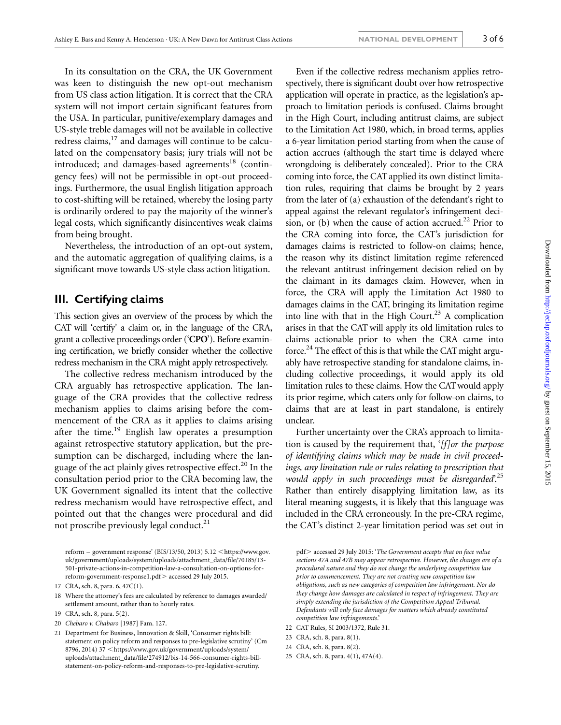In its consultation on the CRA, the UK Government was keen to distinguish the new opt-out mechanism from US class action litigation. It is correct that the CRA system will not import certain significant features from the USA. In particular, punitive/exemplary damages and US-style treble damages will not be available in collective redress claims,<sup>17</sup> and damages will continue to be calculated on the compensatory basis; jury trials will not be introduced; and damages-based agreements<sup>18</sup> (contingency fees) will not be permissible in opt-out proceedings. Furthermore, the usual English litigation approach to cost-shifting will be retained, whereby the losing party is ordinarily ordered to pay the majority of the winner's legal costs, which significantly disincentives weak claims from being brought.

Nevertheless, the introduction of an opt-out system, and the automatic aggregation of qualifying claims, is a significant move towards US-style class action litigation.

#### III. Certifying claims

This section gives an overview of the process by which the CAT will 'certify' a claim or, in the language of the CRA, grant a collective proceedings order ('CPO'). Before examining certification, we briefly consider whether the collective redress mechanism in the CRA might apply retrospectively.

The collective redress mechanism introduced by the CRA arguably has retrospective application. The language of the CRA provides that the collective redress mechanism applies to claims arising before the commencement of the CRA as it applies to claims arising after the time.<sup>19</sup> English law operates a presumption against retrospective statutory application, but the presumption can be discharged, including where the language of the act plainly gives retrospective effect.<sup>20</sup> In the consultation period prior to the CRA becoming law, the UK Government signalled its intent that the collective redress mechanism would have retrospective effect, and pointed out that the changes were procedural and did not proscribe previously legal conduct. $^{21}$ 

reform – government response' (BIS/13/50, 2013) 5.12 <[https://www.gov.](https://www.gov.uk/government/uploads/system/uploads/attachment_data/file/70185/13-501-private-actions-in-competition-law-a-consultation-on-options-for-reform-government-response1.pdf) [uk/government/uploads/system/uploads/attachment\\_data/file/70185/13-](https://www.gov.uk/government/uploads/system/uploads/attachment_data/file/70185/13-501-private-actions-in-competition-law-a-consultation-on-options-for-reform-government-response1.pdf) [501-private-actions-in-competition-law-a-consultation-on-options-for](https://www.gov.uk/government/uploads/system/uploads/attachment_data/file/70185/13-501-private-actions-in-competition-law-a-consultation-on-options-for-reform-government-response1.pdf)[reform-government-response1.pdf](https://www.gov.uk/government/uploads/system/uploads/attachment_data/file/70185/13-501-private-actions-in-competition-law-a-consultation-on-options-for-reform-government-response1.pdf)> accessed 29 July 2015.

- 17 CRA, sch. 8, para. 6, 47C(1).
- 18 Where the attorney's fees are calculated by reference to damages awarded/ settlement amount, rather than to hourly rates.
- 19 CRA, sch. 8, para. 5(2).
- 20 Chebaro v. Chabaro [1987] Fam. 127.
- 21 Department for Business, Innovation & Skill, 'Consumer rights bill: statement on policy reform and responses to pre-legislative scrutiny' (Cm 8796, 2014) 37 <[https://www.gov.uk/government/uploads/system/](https://www.gov.uk/government/uploads/system/uploads/attachment_data/file/274912/bis-14-566-consumer-rights-bill-statement-on-policy-reform-and-responses-to-pre-legislative-scrutiny.pdf) [uploads/attachment\\_data/file/274912/bis-14-566-consumer-rights-bill](https://www.gov.uk/government/uploads/system/uploads/attachment_data/file/274912/bis-14-566-consumer-rights-bill-statement-on-policy-reform-and-responses-to-pre-legislative-scrutiny.pdf)[statement-on-policy-reform-and-responses-to-pre-legislative-scrutiny.](https://www.gov.uk/government/uploads/system/uploads/attachment_data/file/274912/bis-14-566-consumer-rights-bill-statement-on-policy-reform-and-responses-to-pre-legislative-scrutiny.pdf)

Even if the collective redress mechanism applies retrospectively, there is significant doubt over how retrospective application will operate in practice, as the legislation's approach to limitation periods is confused. Claims brought in the High Court, including antitrust claims, are subject to the Limitation Act 1980, which, in broad terms, applies a 6-year limitation period starting from when the cause of action accrues (although the start time is delayed where wrongdoing is deliberately concealed). Prior to the CRA coming into force, the CAT applied its own distinct limitation rules, requiring that claims be brought by 2 years from the later of (a) exhaustion of the defendant's right to appeal against the relevant regulator's infringement decision, or (b) when the cause of action accrued.<sup>22</sup> Prior to the CRA coming into force, the CAT's jurisdiction for damages claims is restricted to follow-on claims; hence, the reason why its distinct limitation regime referenced the relevant antitrust infringement decision relied on by the claimant in its damages claim. However, when in force, the CRA will apply the Limitation Act 1980 to damages claims in the CAT, bringing its limitation regime into line with that in the High Court.<sup>23</sup> A complication arises in that the CAT will apply its old limitation rules to claims actionable prior to when the CRA came into force.<sup>24</sup> The effect of this is that while the CAT might arguably have retrospective standing for standalone claims, including collective proceedings, it would apply its old limitation rules to these claims. How the CAT would apply its prior regime, which caters only for follow-on claims, to claims that are at least in part standalone, is entirely unclear.

Further uncertainty over the CRA's approach to limitation is caused by the requirement that, '[f]or the purpose of identifying claims which may be made in civil proceedings, any limitation rule or rules relating to prescription that would apply in such proceedings must be disregarded?<sup>25</sup> Rather than entirely disapplying limitation law, as its literal meaning suggests, it is likely that this language was included in the CRA erroneously. In the pre-CRA regime, the CAT's distinct 2-year limitation period was set out in

- 22 CAT Rules, SI 2003/1372, Rule 31.
- 23 CRA, sch. 8, para. 8(1).
- 24 CRA, sch. 8, para. 8(2).
- 25 CRA, sch. 8, para. 4(1), 47A(4).

[pdf](https://www.gov.uk/government/uploads/system/uploads/attachment_data/file/274912/bis-14-566-consumer-rights-bill-statement-on-policy-reform-and-responses-to-pre-legislative-scrutiny.pdf) > accessed 29 July 2015: 'The Government accepts that on face value sections 47A and 47B may appear retrospective. However, the changes are of a procedural nature and they do not change the underlying competition law prior to commencement. They are not creating new competition law obligations, such as new categories of competition law infringement. Nor do they change how damages are calculated in respect of infringement. They are simply extending the jurisdiction of the Competition Appeal Tribunal. Defendants will only face damages for matters which already constituted competition law infringements.'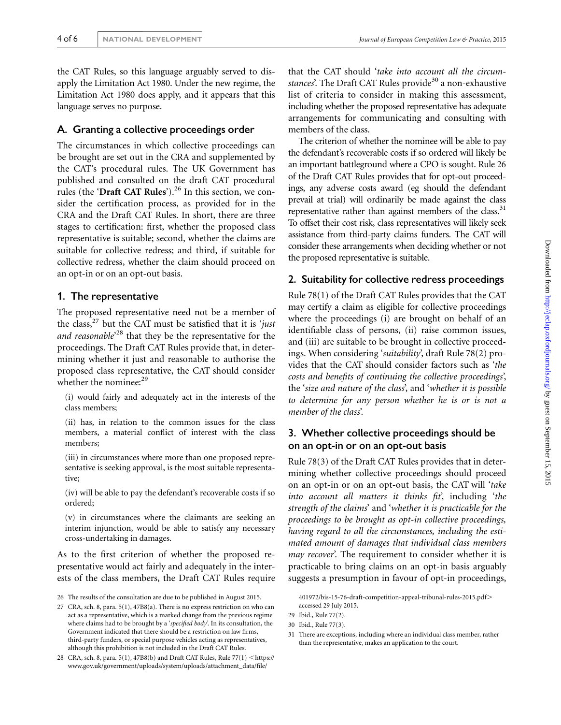the CAT Rules, so this language arguably served to disapply the Limitation Act 1980. Under the new regime, the Limitation Act 1980 does apply, and it appears that this language serves no purpose.

#### A. Granting a collective proceedings order

The circumstances in which collective proceedings can be brought are set out in the CRA and supplemented by the CAT's procedural rules. The UK Government has published and consulted on the draft CAT procedural rules (the 'Draft CAT Rules').<sup>26</sup> In this section, we consider the certification process, as provided for in the CRA and the Draft CAT Rules. In short, there are three stages to certification: first, whether the proposed class representative is suitable; second, whether the claims are suitable for collective redress; and third, if suitable for collective redress, whether the claim should proceed on an opt-in or on an opt-out basis.

#### 1. The representative

The proposed representative need not be a member of the class,<sup>27</sup> but the CAT must be satisfied that it is 'just and reasonable<sup>28</sup> that they be the representative for the proceedings. The Draft CAT Rules provide that, in determining whether it just and reasonable to authorise the proposed class representative, the CAT should consider whether the nominee: $2<sup>9</sup>$ 

(i) would fairly and adequately act in the interests of the class members;

(ii) has, in relation to the common issues for the class members, a material conflict of interest with the class members;

(iii) in circumstances where more than one proposed representative is seeking approval, is the most suitable representative;

(iv) will be able to pay the defendant's recoverable costs if so ordered;

(v) in circumstances where the claimants are seeking an interim injunction, would be able to satisfy any necessary cross-undertaking in damages.

As to the first criterion of whether the proposed representative would act fairly and adequately in the interests of the class members, the Draft CAT Rules require that the CAT should 'take into account all the circumstances'. The Draft CAT Rules provide<sup>30</sup> a non-exhaustive list of criteria to consider in making this assessment, including whether the proposed representative has adequate arrangements for communicating and consulting with members of the class.

The criterion of whether the nominee will be able to pay the defendant's recoverable costs if so ordered will likely be an important battleground where a CPO is sought. Rule 26 of the Draft CAT Rules provides that for opt-out proceedings, any adverse costs award (eg should the defendant prevail at trial) will ordinarily be made against the class representative rather than against members of the class. $31$ To offset their cost risk, class representatives will likely seek assistance from third-party claims funders. The CAT will consider these arrangements when deciding whether or not the proposed representative is suitable.

### 2. Suitability for collective redress proceedings

Rule 78(1) of the Draft CAT Rules provides that the CAT may certify a claim as eligible for collective proceedings where the proceedings (i) are brought on behalf of an identifiable class of persons, (ii) raise common issues, and (iii) are suitable to be brought in collective proceedings. When considering 'suitability', draft Rule 78(2) provides that the CAT should consider factors such as 'the costs and benefits of continuing the collective proceedings', the 'size and nature of the class', and 'whether it is possible to determine for any person whether he is or is not a member of the class'.

### 3. Whether collective proceedings should be on an opt-in or on an opt-out basis

Rule 78(3) of the Draft CAT Rules provides that in determining whether collective proceedings should proceed on an opt-in or on an opt-out basis, the CAT will 'take into account all matters it thinks  $\hat{n}t$ , including 'the strength of the claims' and 'whether it is practicable for the proceedings to be brought as opt-in collective proceedings, having regard to all the circumstances, including the estimated amount of damages that individual class members may recover'. The requirement to consider whether it is practicable to bring claims on an opt-in basis arguably suggests a presumption in favour of opt-in proceedings,

<sup>26</sup> The results of the consultation are due to be published in August 2015.

<sup>27</sup> CRA, sch. 8, para. 5(1), 47B8(a). There is no express restriction on who can act as a representative, which is a marked change from the previous regime where claims had to be brought by a 'specified body'. In its consultation, the Government indicated that there should be a restriction on law firms, third-party funders, or special purpose vehicles acting as representatives, although this prohibition is not included in the Draft CAT Rules.

<sup>28</sup> CRA, sch. 8, para. 5(1), 47B8(b) and Draft CAT Rules, Rule 77(1)  $\lt$ [https://](https://www.gov.uk/government/uploads/system/uploads/attachment_data/file/401972/bis-15-76-draft-competition-appeal-tribunal-rules-2015.pdf) [www.gov.uk/government/uploads/system/uploads/attachment\\_data/file/](https://www.gov.uk/government/uploads/system/uploads/attachment_data/file/401972/bis-15-76-draft-competition-appeal-tribunal-rules-2015.pdf)

[<sup>401972/</sup>bis-15-76-draft-competition-appeal-tribunal-rules-2015.pdf](https://www.gov.uk/government/uploads/system/uploads/attachment_data/file/401972/bis-15-76-draft-competition-appeal-tribunal-rules-2015.pdf). accessed 29 July 2015.

<sup>29</sup> Ibid., Rule 77(2).

<sup>30</sup> Ibid., Rule 77(3).

<sup>31</sup> There are exceptions, including where an individual class member, rather than the representative, makes an application to the court.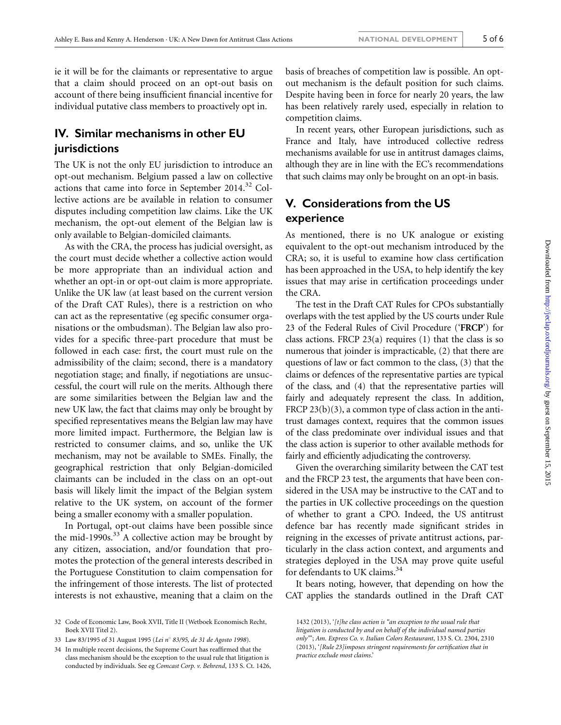ie it will be for the claimants or representative to argue that a claim should proceed on an opt-out basis on account of there being insufficient financial incentive for individual putative class members to proactively opt in.

## IV. Similar mechanisms in other EU jurisdictions

The UK is not the only EU jurisdiction to introduce an opt-out mechanism. Belgium passed a law on collective actions that came into force in September 2014.32 Collective actions are be available in relation to consumer disputes including competition law claims. Like the UK mechanism, the opt-out element of the Belgian law is only available to Belgian-domiciled claimants.

As with the CRA, the process has judicial oversight, as the court must decide whether a collective action would be more appropriate than an individual action and whether an opt-in or opt-out claim is more appropriate. Unlike the UK law (at least based on the current version of the Draft CAT Rules), there is a restriction on who can act as the representative (eg specific consumer organisations or the ombudsman). The Belgian law also provides for a specific three-part procedure that must be followed in each case: first, the court must rule on the admissibility of the claim; second, there is a mandatory negotiation stage; and finally, if negotiations are unsuccessful, the court will rule on the merits. Although there are some similarities between the Belgian law and the new UK law, the fact that claims may only be brought by specified representatives means the Belgian law may have more limited impact. Furthermore, the Belgian law is restricted to consumer claims, and so, unlike the UK mechanism, may not be available to SMEs. Finally, the geographical restriction that only Belgian-domiciled claimants can be included in the class on an opt-out basis will likely limit the impact of the Belgian system relative to the UK system, on account of the former being a smaller economy with a smaller population.

In Portugal, opt-out claims have been possible since the mid-1990s. $^{33}$  A collective action may be brought by any citizen, association, and/or foundation that promotes the protection of the general interests described in the Portuguese Constitution to claim compensation for the infringement of those interests. The list of protected interests is not exhaustive, meaning that a claim on the

34 In multiple recent decisions, the Supreme Court has reaffirmed that the class mechanism should be the exception to the usual rule that litigation is conducted by individuals. See eg Comcast Corp. v. Behrend, 133 S. Ct. 1426, basis of breaches of competition law is possible. An optout mechanism is the default position for such claims. Despite having been in force for nearly 20 years, the law has been relatively rarely used, especially in relation to competition claims.

In recent years, other European jurisdictions, such as France and Italy, have introduced collective redress mechanisms available for use in antitrust damages claims, although they are in line with the EC's recommendations that such claims may only be brought on an opt-in basis.

## V. Considerations from the US experience

As mentioned, there is no UK analogue or existing equivalent to the opt-out mechanism introduced by the CRA; so, it is useful to examine how class certification has been approached in the USA, to help identify the key issues that may arise in certification proceedings under the CRA.

The test in the Draft CAT Rules for CPOs substantially overlaps with the test applied by the US courts under Rule 23 of the Federal Rules of Civil Procedure ('FRCP') for class actions. FRCP  $23(a)$  requires  $(1)$  that the class is so numerous that joinder is impracticable, (2) that there are questions of law or fact common to the class, (3) that the claims or defences of the representative parties are typical of the class, and (4) that the representative parties will fairly and adequately represent the class. In addition, FRCP 23(b)(3), a common type of class action in the antitrust damages context, requires that the common issues of the class predominate over individual issues and that the class action is superior to other available methods for fairly and efficiently adjudicating the controversy.

Given the overarching similarity between the CAT test and the FRCP 23 test, the arguments that have been considered in the USA may be instructive to the CAT and to the parties in UK collective proceedings on the question of whether to grant a CPO. Indeed, the US antitrust defence bar has recently made significant strides in reigning in the excesses of private antitrust actions, particularly in the class action context, and arguments and strategies deployed in the USA may prove quite useful for defendants to UK claims.<sup>34</sup>

It bears noting, however, that depending on how the CAT applies the standards outlined in the Draft CAT

<sup>32</sup> Code of Economic Law, Book XVII, Title II (Wetboek Economisch Recht, Boek XVII Titel 2).

<sup>33</sup> Law 83/1995 of 31 August 1995 (Lei n° 83/95, de 31 de Agosto 1998).

<sup>1432 (2013), &#</sup>x27;[t]he class action is "an exception to the usual rule that litigation is conducted by and on behalf of the individual named parties only"'; Am. Express Co. v. Italian Colors Restaurant, 133 S. Ct. 2304, 2310 (2013), '[Rule 23]imposes stringent requirements for certification that in practice exclude most claims.'